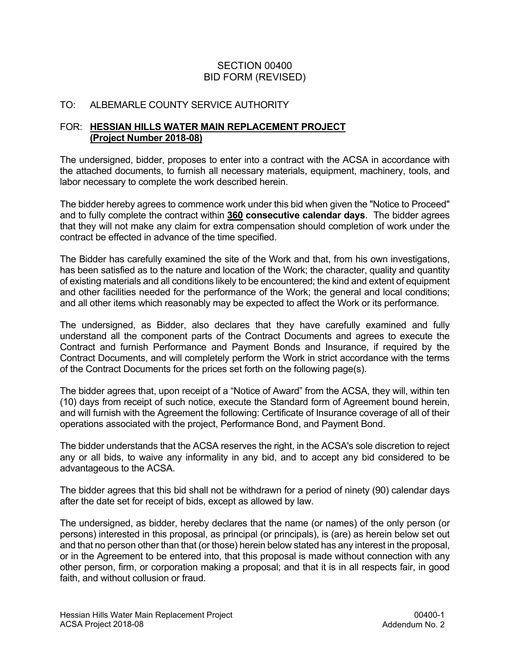### SECTION 00400 BID FORM (REVISED)

### TO: ALBEMARLE COUNTY SERVICE AUTHORITY

#### FOR: **HESSIAN HILLS WATER MAIN REPLACEMENT PROJECT (Project Number 2018-08)**

The undersigned, bidder, proposes to enter into a contract with the ACSA in accordance with the attached documents, to furnish all necessary materials, equipment, machinery, tools, and labor necessary to complete the work described herein.

The bidder hereby agrees to commence work under this bid when given the "Notice to Proceed" and to fully complete the contract within **360 consecutive calendar days**. The bidder agrees that they will not make any claim for extra compensation should completion of work under the contract be effected in advance of the time specified.

The Bidder has carefully examined the site of the Work and that, from his own investigations, has been satisfied as to the nature and location of the Work; the character, quality and quantity of existing materials and all conditions likely to be encountered; the kind and extent of equipment and other facilities needed for the performance of the Work; the general and local conditions; and all other items which reasonably may be expected to affect the Work or its performance.

The undersigned, as Bidder, also declares that they have carefully examined and fully understand all the component parts of the Contract Documents and agrees to execute the Contract and furnish Performance and Payment Bonds and Insurance, if required by the Contract Documents, and will completely perform the Work in strict accordance with the terms of the Contract Documents for the prices set forth on the following page(s).

The bidder agrees that, upon receipt of a "Notice of Award" from the ACSA, they will, within ten (10) days from receipt of such notice, execute the Standard form of Agreement bound herein, and will furnish with the Agreement the following: Certificate of Insurance coverage of all of their operations associated with the project, Performance Bond, and Payment Bond.

The bidder understands that the ACSA reserves the right, in the ACSA's sole discretion to reject any or all bids, to waive any informality in any bid, and to accept any bid considered to be advantageous to the ACSA.

The bidder agrees that this bid shall not be withdrawn for a period of ninety (90) calendar days after the date set for receipt of bids, except as allowed by law.

The undersigned, as bidder, hereby declares that the name (or names) of the only person (or persons) interested in this proposal, as principal (or principals), is (are) as herein below set out and that no person other than that (or those) herein below stated has any interest in the proposal, or in the Agreement to be entered into, that this proposal is made without connection with any other person, firm, or corporation making a proposal; and that it is in all respects fair, in good faith, and without collusion or fraud.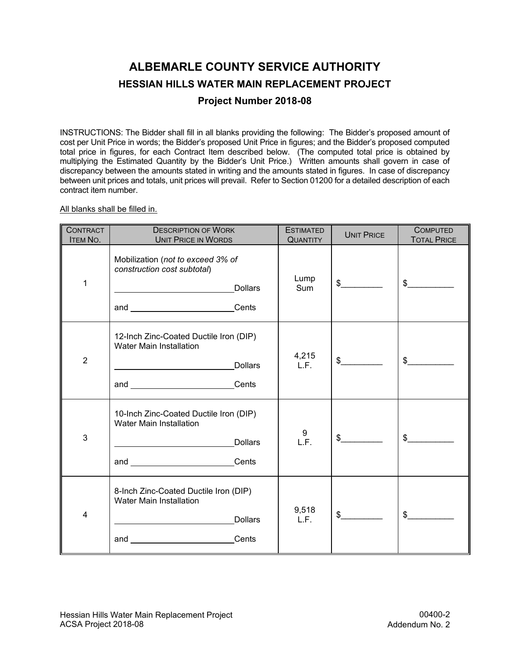# **ALBEMARLE COUNTY SERVICE AUTHORITY HESSIAN HILLS WATER MAIN REPLACEMENT PROJECT**

#### **Project Number 2018-08**

INSTRUCTIONS: The Bidder shall fill in all blanks providing the following: The Bidder's proposed amount of cost per Unit Price in words; the Bidder's proposed Unit Price in figures; and the Bidder's proposed computed total price in figures, for each Contract Item described below. (The computed total price is obtained by multiplying the Estimated Quantity by the Bidder's Unit Price.) Written amounts shall govern in case of discrepancy between the amounts stated in writing and the amounts stated in figures. In case of discrepancy between unit prices and totals, unit prices will prevail. Refer to Section 01200 for a detailed description of each contract item number.

All blanks shall be filled in.

| <b>CONTRACT</b><br><b>ITEM NO.</b> | <b>DESCRIPTION OF WORK</b><br><b>UNIT PRICE IN WORDS</b>                                                                                                                                                                                                                                                                             | <b>ESTIMATED</b><br><b>QUANTITY</b> | <b>UNIT PRICE</b> | <b>COMPUTED</b><br><b>TOTAL PRICE</b> |
|------------------------------------|--------------------------------------------------------------------------------------------------------------------------------------------------------------------------------------------------------------------------------------------------------------------------------------------------------------------------------------|-------------------------------------|-------------------|---------------------------------------|
| 1                                  | Mobilization (not to exceed 3% of<br>construction cost subtotal)<br><b>Dollars</b><br><u> 1989 - Johann Stoff, fransk politik (</u><br>and __________________________Cents                                                                                                                                                           | Lump<br>Sum                         | $\frac{1}{2}$     | $\sim$                                |
| $\overline{2}$                     | 12-Inch Zinc-Coated Ductile Iron (DIP)<br><b>Water Main Installation</b><br><b>Dollars</b><br><u> 1980 - Johann Barbara, martxa al</u><br>and __________________________Cents                                                                                                                                                        | 4,215<br>L.F.                       | $\frac{1}{2}$     | \$                                    |
| 3                                  | 10-Inch Zinc-Coated Ductile Iron (DIP)<br><b>Water Main Installation</b><br>and Cents                                                                                                                                                                                                                                                | 9<br>L.F.                           | $\frac{1}{2}$     | \$                                    |
| $\overline{4}$                     | 8-Inch Zinc-Coated Ductile Iron (DIP)<br><b>Water Main Installation</b><br><b>Dollars</b><br>Cents<br>and the contract of the contract of the contract of the contract of the contract of the contract of the contract of the contract of the contract of the contract of the contract of the contract of the contract of the contra | 9,518<br>L.F.                       | \$                | \$                                    |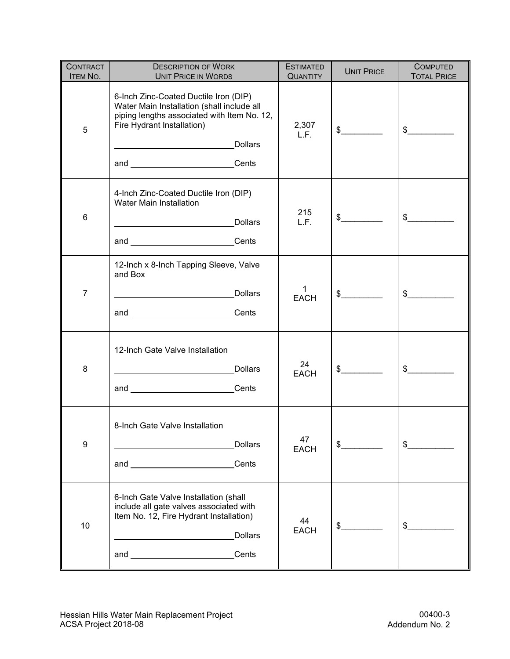| <b>CONTRACT</b><br><b>ITEM NO.</b> | <b>DESCRIPTION OF WORK</b><br><b>UNIT PRICE IN WORDS</b>                                                                                                                                                                 | <b>ESTIMATED</b><br><b>QUANTITY</b> | <b>UNIT PRICE</b> | <b>COMPUTED</b><br><b>TOTAL PRICE</b> |
|------------------------------------|--------------------------------------------------------------------------------------------------------------------------------------------------------------------------------------------------------------------------|-------------------------------------|-------------------|---------------------------------------|
| 5                                  | 6-Inch Zinc-Coated Ductile Iron (DIP)<br>Water Main Installation (shall include all<br>piping lengths associated with Item No. 12,<br>Fire Hydrant Installation)<br><b>Dollars</b><br>and _________________________Cents | 2,307<br>L.F.                       | $\frac{1}{2}$     | $\frac{1}{2}$                         |
| 6                                  | 4-Inch Zinc-Coated Ductile Iron (DIP)<br>Water Main Installation<br><b>Dollars</b><br>and __________________________Cents                                                                                                | 215<br>L.F.                         | $\frac{1}{2}$     | $\mathfrak s$                         |
| $\overline{7}$                     | 12-Inch x 8-Inch Tapping Sleeve, Valve<br>and Box<br><b>Dollars</b><br>and <u>Cents</u>                                                                                                                                  | 1<br><b>EACH</b>                    | $\frac{1}{2}$     | $\frac{1}{2}$                         |
| 8                                  | 12-Inch Gate Valve Installation<br><b>Dollars</b><br>and ____________________________Cents                                                                                                                               | 24<br><b>EACH</b>                   | $\sim$            | $\frac{1}{2}$                         |
| 9                                  | 8-Inch Gate Valve Installation<br><b>Dollars</b><br>Cents                                                                                                                                                                | 47<br><b>EACH</b>                   | $\frac{1}{2}$     | \$                                    |
| 10                                 | 6-Inch Gate Valve Installation (shall<br>include all gate valves associated with<br>Item No. 12, Fire Hydrant Installation)<br><b>Dollars</b><br>and Cents                                                               | 44<br><b>EACH</b>                   | $\frac{1}{2}$     | $\mathsf{\$}$                         |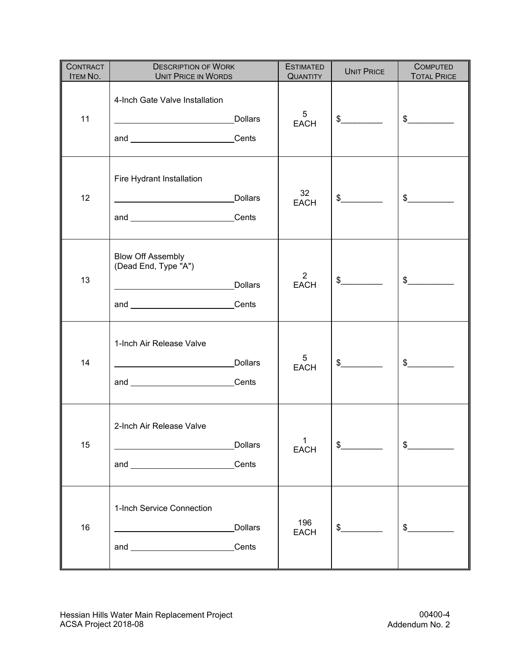| <b>CONTRACT</b><br>ITEM NO. | <b>DESCRIPTION OF WORK</b><br><b>UNIT PRICE IN WORDS</b>                                                                                                                                                                                                                       | <b>ESTIMATED</b><br><b>QUANTITY</b> | <b>UNIT PRICE</b> | <b>COMPUTED</b><br><b>TOTAL PRICE</b> |
|-----------------------------|--------------------------------------------------------------------------------------------------------------------------------------------------------------------------------------------------------------------------------------------------------------------------------|-------------------------------------|-------------------|---------------------------------------|
| 11                          | 4-Inch Gate Valve Installation<br><b>Dollars</b><br>and ________________________Cents                                                                                                                                                                                          | 5<br><b>EACH</b>                    | $\sim$            | $\frac{1}{2}$                         |
| 12                          | Fire Hydrant Installation<br><b>Dollars</b><br>and ________________________Cents                                                                                                                                                                                               | 32 <sup>°</sup><br><b>EACH</b>      | $\frac{1}{2}$     | $\frac{1}{2}$                         |
| 13                          | <b>Blow Off Assembly</b><br>(Dead End, Type "A")<br>Dollars<br>and _________________________Cents                                                                                                                                                                              | $\overline{2}$<br><b>EACH</b>       | $\frac{1}{2}$     | $\frac{1}{2}$                         |
| 14                          | 1-Inch Air Release Valve<br><b>Dollars</b><br><u> 1980 - Johann Barn, mars ann an t-Amhain Aonaich an t-Aonaich an t-Aonaich ann an t-Aonaich ann an t-Aonaich</u><br>and _________________________Cents                                                                       | 5<br><b>EACH</b>                    | $\frac{1}{2}$     | $\frac{1}{2}$                         |
| 15                          | 2-Inch Air Release Valve<br>Dollars<br>Cents<br>and the contract of the contract of the contract of the contract of the contract of the contract of the contract of the contract of the contract of the contract of the contract of the contract of the contract of the contra | $\mathbf 1$<br><b>EACH</b>          | $\frac{1}{2}$     | $\frac{1}{2}$                         |
| 16                          | 1-Inch Service Connection<br><b>Dollars</b><br>Cents                                                                                                                                                                                                                           | 196<br><b>EACH</b>                  | $\frac{1}{2}$     | $\frac{1}{2}$                         |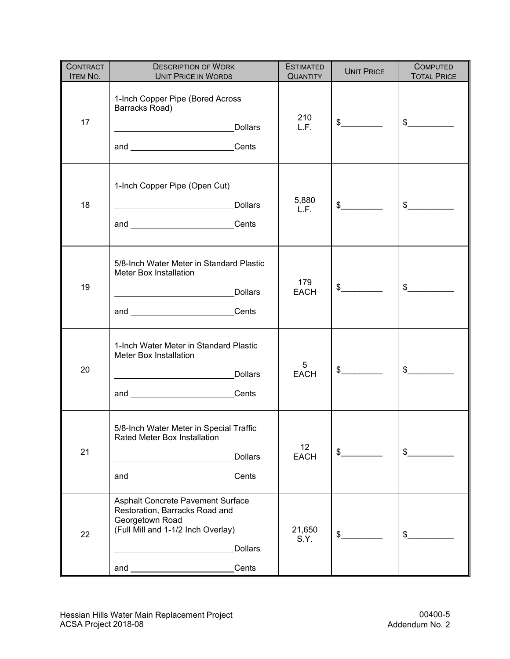| <b>CONTRACT</b><br><b>ITEM NO.</b> | <b>DESCRIPTION OF WORK</b><br><b>UNIT PRICE IN WORDS</b>                                                                                                                                                                                                                                                                                   | <b>ESTIMATED</b><br><b>QUANTITY</b> | <b>UNIT PRICE</b> | <b>COMPUTED</b><br><b>TOTAL PRICE</b> |
|------------------------------------|--------------------------------------------------------------------------------------------------------------------------------------------------------------------------------------------------------------------------------------------------------------------------------------------------------------------------------------------|-------------------------------------|-------------------|---------------------------------------|
| 17                                 | 1-Inch Copper Pipe (Bored Across<br>Barracks Road)<br>and _________________________Cents                                                                                                                                                                                                                                                   | 210<br>L.F.                         | $\frac{1}{2}$     | $\frac{1}{2}$                         |
| 18                                 | 1-Inch Copper Pipe (Open Cut)<br>and _______________________Cents                                                                                                                                                                                                                                                                          | 5,880<br>L.F.                       | $\frac{1}{2}$     | $\frac{1}{2}$                         |
| 19                                 | 5/8-Inch Water Meter in Standard Plastic<br>Meter Box Installation<br>and Cents                                                                                                                                                                                                                                                            | 179<br><b>EACH</b>                  | $\frac{1}{2}$     | $\frac{1}{2}$                         |
| 20                                 | 1-Inch Water Meter in Standard Plastic<br>Meter Box Installation<br>Dollars<br>and _________________________Cents                                                                                                                                                                                                                          | 5<br><b>EACH</b>                    | $\frac{1}{2}$     | $\frac{1}{2}$                         |
| 21                                 | 5/8-Inch Water Meter in Special Traffic<br>Rated Meter Box Installation<br><b>Dollars</b><br>Cents<br>and <u>the contract of the contract of the contract of the contract of the contract of the contract of the contract of the contract of the contract of the contract of the contract of the contract of the contract of the contr</u> | 12 <sup>°</sup><br><b>EACH</b>      | $\frac{1}{2}$     | \$                                    |
| 22                                 | Asphalt Concrete Pavement Surface<br>Restoration, Barracks Road and<br>Georgetown Road<br>(Full Mill and 1-1/2 Inch Overlay)<br><b>Dollars</b><br>Cents                                                                                                                                                                                    | 21,650<br>S.Y.                      | \$                | $\frac{1}{2}$                         |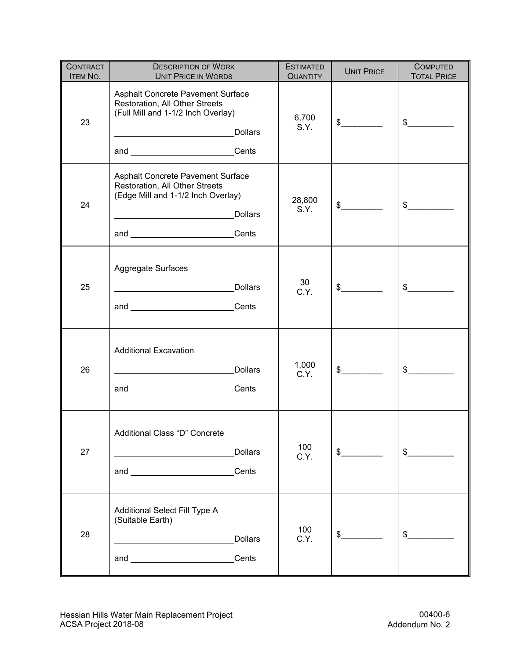| <b>CONTRACT</b><br>ITEM NO. | <b>DESCRIPTION OF WORK</b><br><b>UNIT PRICE IN WORDS</b>                                                                                                          | <b>ESTIMATED</b><br><b>QUANTITY</b> | <b>UNIT PRICE</b> | <b>COMPUTED</b><br><b>TOTAL PRICE</b> |
|-----------------------------|-------------------------------------------------------------------------------------------------------------------------------------------------------------------|-------------------------------------|-------------------|---------------------------------------|
| 23                          | Asphalt Concrete Pavement Surface<br>Restoration, All Other Streets<br>(Full Mill and 1-1/2 Inch Overlay)<br><b>Dollars</b><br>and _________________________Cents | 6,700<br>S.Y.                       | $\frac{1}{2}$     | $\frac{1}{2}$                         |
| 24                          | Asphalt Concrete Pavement Surface<br>Restoration, All Other Streets<br>(Edge Mill and 1-1/2 Inch Overlay)<br><b>Dollars</b><br>and _________________________Cents | 28,800<br>S.Y.                      | $\frac{1}{2}$     | $\frac{1}{2}$                         |
| 25                          | Aggregate Surfaces<br><b>Dollars</b><br><u> 1989 - Johann Barn, fransk politik (d. 1989)</u><br>and __________________________Cents                               | 30<br>C.Y.                          | $\frac{1}{2}$     | $\frac{1}{2}$                         |
| 26                          | <b>Additional Excavation</b><br><b>Dollars</b><br>and Cents                                                                                                       | 1,000<br>C.Y.                       | $\frac{1}{2}$     | $\frac{1}{2}$                         |
| 27                          | Additional Class "D" Concrete<br><b>Dollars</b><br>Cents                                                                                                          | 100<br>C.Y.                         | $\sim$            | $\frac{1}{2}$                         |
| 28                          | Additional Select Fill Type A<br>(Suitable Earth)<br><b>Dollars</b><br>Cents                                                                                      | 100<br>C.Y.                         | $\frac{1}{2}$     | \$                                    |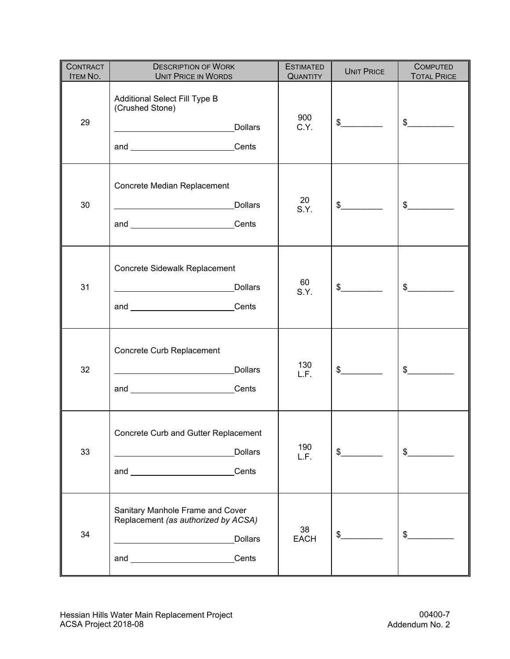| <b>CONTRACT</b><br>ITEM NO. | <b>DESCRIPTION OF WORK</b><br><b>UNIT PRICE IN WORDS</b>                                                                                                                   | <b>ESTIMATED</b><br><b>QUANTITY</b> | <b>UNIT PRICE</b> | <b>COMPUTED</b><br><b>TOTAL PRICE</b> |
|-----------------------------|----------------------------------------------------------------------------------------------------------------------------------------------------------------------------|-------------------------------------|-------------------|---------------------------------------|
| 29                          | Additional Select Fill Type B<br>(Crushed Stone)<br>and _________________________Cents                                                                                     | 900<br>C.Y.                         | $\frac{1}{2}$     | $\frac{1}{2}$                         |
| 30                          | Concrete Median Replacement<br><b>Dollars</b><br>and _________________________Cents                                                                                        | 20<br>S.Y.                          | $\frac{1}{2}$     | $\frac{1}{2}$                         |
| 31                          | Concrete Sidewalk Replacement<br><b>Dollars</b><br>and ________________________Cents                                                                                       | 60<br>S.Y.                          | $\frac{1}{2}$     | $\frac{1}{2}$                         |
| 32                          | Concrete Curb Replacement<br><b>Dollars</b><br>and Cents                                                                                                                   | 130<br>L.F.                         | $\frac{1}{2}$     | $\frac{1}{2}$                         |
| 33                          | Concrete Curb and Gutter Replacement<br><b>Dollars</b><br><u> 1989 - Johann Barbara, martin a</u><br>and __________________________Cents                                   | 190<br>L.F.                         | $\sim$            | $\frac{1}{2}$                         |
| 34                          | Sanitary Manhole Frame and Cover<br>Replacement (as authorized by ACSA)<br><b>Dollars</b><br><u> 1989 - Johann Barbara, martin d</u><br>and _________________________Cents | 38<br><b>EACH</b>                   | $\frac{1}{2}$     | $\frac{1}{2}$                         |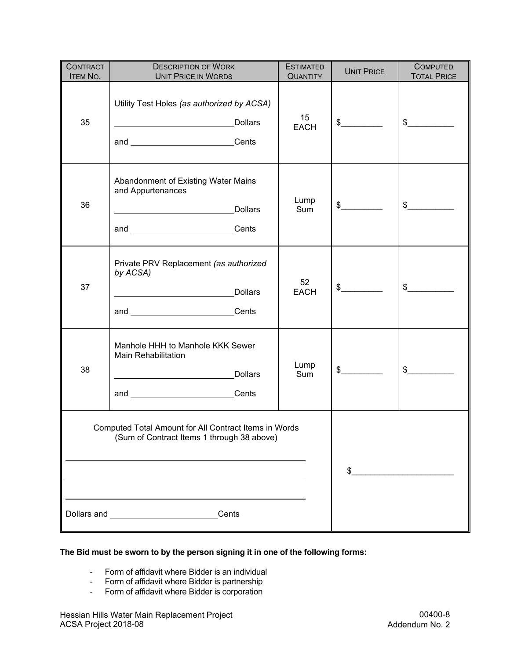| <b>CONTRACT</b><br><b>ITEM NO.</b>                                                                  | <b>DESCRIPTION OF WORK</b><br><b>UNIT PRICE IN WORDS</b>                                                                                                   | <b>ESTIMATED</b><br><b>QUANTITY</b> | <b>UNIT PRICE</b> | <b>COMPUTED</b><br><b>TOTAL PRICE</b> |
|-----------------------------------------------------------------------------------------------------|------------------------------------------------------------------------------------------------------------------------------------------------------------|-------------------------------------|-------------------|---------------------------------------|
| 35                                                                                                  | Utility Test Holes (as authorized by ACSA)<br><b>Dollars</b><br><u> 1989 - Johann Stoff, Amerikaansk politiker (</u><br>and _________________________Cents | 15<br><b>EACH</b>                   | $\frac{1}{2}$     | $\frac{1}{2}$                         |
| 36                                                                                                  | Abandonment of Existing Water Mains<br>and Appurtenances<br><b>Dollars</b><br>and ___________________________Cents                                         | Lump<br>Sum                         | $\frac{1}{2}$     | $\frac{1}{2}$                         |
| 37                                                                                                  | Private PRV Replacement (as authorized<br>by ACSA)<br>Dollars<br>and Cents                                                                                 | 52<br><b>EACH</b>                   | $\frac{1}{2}$     | $\frac{1}{2}$                         |
| 38                                                                                                  | Manhole HHH to Manhole KKK Sewer<br><b>Main Rehabilitation</b><br>Dollars<br>and _________________________Cents                                            | Lump<br>Sum                         | $\frac{1}{2}$     | $\frac{1}{2}$                         |
| Computed Total Amount for All Contract Items in Words<br>(Sum of Contract Items 1 through 38 above) |                                                                                                                                                            |                                     | \$                |                                       |
|                                                                                                     | Cents<br>Dollars and _____________________                                                                                                                 |                                     |                   |                                       |

#### **The Bid must be sworn to by the person signing it in one of the following forms:**

- Form of affidavit where Bidder is an individual
- Form of affidavit where Bidder is partnership<br>- Form of affidavit where Bidder is corporation
- Form of affidavit where Bidder is corporation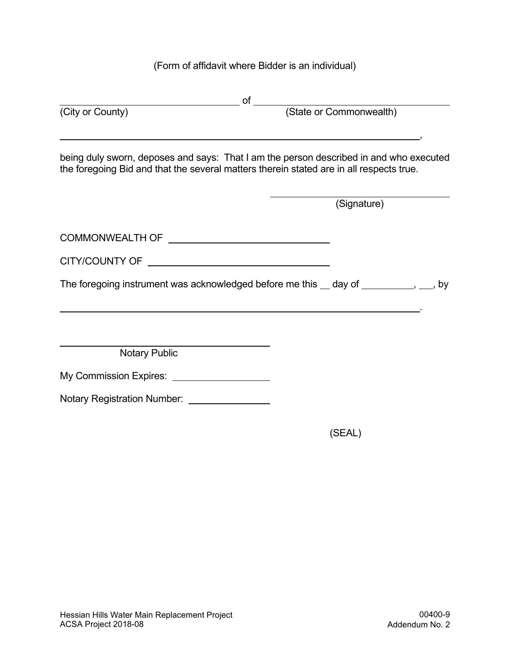# (Form of affidavit where Bidder is an individual)

| (City or County)                                                                        |                                                                                        |
|-----------------------------------------------------------------------------------------|----------------------------------------------------------------------------------------|
| the foregoing Bid and that the several matters therein stated are in all respects true. | being duly sworn, deposes and says: That I am the person described in and who executed |
|                                                                                         | (Signature)                                                                            |
|                                                                                         |                                                                                        |
|                                                                                         |                                                                                        |
|                                                                                         | The foregoing instrument was acknowledged before me this $\_\,$ day of $\_\_$          |
|                                                                                         |                                                                                        |
| Notary Public                                                                           |                                                                                        |
| My Commission Expires: ____________________                                             |                                                                                        |
| Notary Registration Number: ________________                                            |                                                                                        |
|                                                                                         | (SEAL)                                                                                 |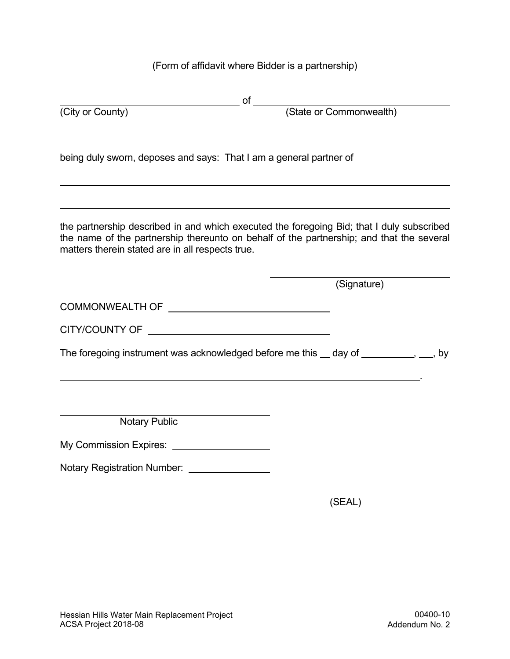(Form of affidavit where Bidder is a partnership)

| (City or County)                                                                                                                                                                                                                          |             |
|-------------------------------------------------------------------------------------------------------------------------------------------------------------------------------------------------------------------------------------------|-------------|
|                                                                                                                                                                                                                                           |             |
| being duly sworn, deposes and says: That I am a general partner of                                                                                                                                                                        |             |
| the partnership described in and which executed the foregoing Bid; that I duly subscribed<br>the name of the partnership thereunto on behalf of the partnership; and that the several<br>matters therein stated are in all respects true. |             |
|                                                                                                                                                                                                                                           | (Signature) |
|                                                                                                                                                                                                                                           |             |
| CITY/COUNTY OF THE CITY/COUNTY OF                                                                                                                                                                                                         |             |
| The foregoing instrument was acknowledged before me this __ day of _________, __, by                                                                                                                                                      |             |
|                                                                                                                                                                                                                                           |             |
| <b>Notary Public</b>                                                                                                                                                                                                                      |             |
| My Commission Expires: _____________________                                                                                                                                                                                              |             |
| Notary Registration Number: _______________                                                                                                                                                                                               |             |
|                                                                                                                                                                                                                                           | (SEAL)      |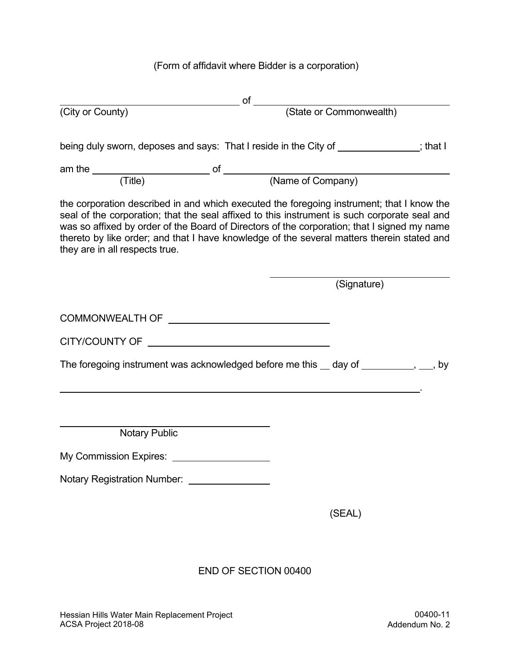(Form of affidavit where Bidder is a corporation)

|                                | being duly sworn, deposes and says: That I reside in the City of ____________; that I                                                                                                                                                                                                                                                                                                  |
|--------------------------------|----------------------------------------------------------------------------------------------------------------------------------------------------------------------------------------------------------------------------------------------------------------------------------------------------------------------------------------------------------------------------------------|
|                                |                                                                                                                                                                                                                                                                                                                                                                                        |
|                                |                                                                                                                                                                                                                                                                                                                                                                                        |
| they are in all respects true. | the corporation described in and which executed the foregoing instrument; that I know the<br>seal of the corporation; that the seal affixed to this instrument is such corporate seal and<br>was so affixed by order of the Board of Directors of the corporation; that I signed my name<br>thereto by like order; and that I have knowledge of the several matters therein stated and |
|                                | (Signature)                                                                                                                                                                                                                                                                                                                                                                            |
|                                |                                                                                                                                                                                                                                                                                                                                                                                        |
|                                |                                                                                                                                                                                                                                                                                                                                                                                        |
|                                | The foregoing instrument was acknowledged before me this __ day of __________, __, by                                                                                                                                                                                                                                                                                                  |
|                                |                                                                                                                                                                                                                                                                                                                                                                                        |
| <b>Notary Public</b>           |                                                                                                                                                                                                                                                                                                                                                                                        |
| My Commission Expires: ___     |                                                                                                                                                                                                                                                                                                                                                                                        |
| Notary Registration Number:    |                                                                                                                                                                                                                                                                                                                                                                                        |
|                                | (SEAL)                                                                                                                                                                                                                                                                                                                                                                                 |
|                                |                                                                                                                                                                                                                                                                                                                                                                                        |

### END OF SECTION 00400